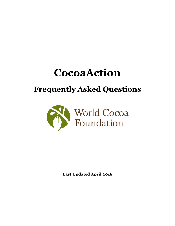# **CocoaAction**

# **Frequently Asked Questions**



**Last Updated April 2016**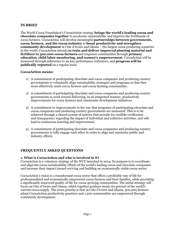# **IN BRIEF**

The World Cocoa Foundation's CocoaAction strategy **brings the world's leading cocoa and chocolate companies together** to accelerate sustainability and improve the livelihoods of cocoa farmers. CocoaAction will develop meaningful **partnerships between governments, cocoa farmers, and the cocoa industry** to **boost productivity and strengthen community development** in Côte d'Ivoire and Ghana – the largest cocoa producing countries in the world. CocoaAction intends **to train and deliver improved planting material and fertilizer to 300,000 cocoa farmers** and empower communities through **primary education**, **child labor monitoring, and women's empowerment**. CocoaAction will be measured through adherence to six key performance indicators, and **progress will be publically reported** on a regular basis.

#### **CocoaAction means:**

- 1) A commitment of participating chocolate and cocoa companies and producing country governments to voluntarily align sustainability strategies and programs so that they more effectively reach cocoa farmers and cocoa farming communities.
- 2) A commitment of participating chocolate and cocoa companies and producing country governments to work toward delivering, in an integrated manner, productivity improvements for cocoa farmers and community development initiatives.
- 3) A commitment to improvements in the way that programs of participating chocolate and cocoa companies and producing country governments are measured. This is to be achieved through a shared system of metrics that provide for credible verification and transparency regarding the impact of individual and collective activities, and will lead to continuous learning and improvement.
- 4) A commitment of participating chocolate and cocoa companies and producing country governments to fully engage each other in order to align and maximize public and industry efforts.

# **FREQUENTLY ASKED QUESTIONS**

#### **1. What is CocoaAction and who is involved in it?**

CocoaAction is a voluntary strategy of the WCF launched in 2014. Its purpose is to coordinate and align the cocoa sustainability efforts of the world's leading cocoa and chocolate companies and increase their impact toward reviving and building an economically viable cocoa sector.

CocoaAction's vision is a transformed cocoa sector that offers a profitable way of life for professionalized and economically empowered cocoa farmers and their families, while providing a significantly improved quality of life for cocoa-growing communities. The initial strategy will focus on Côte d'Ivoire and Ghana, which together produce nearly 60 percent of the world's current cocoa supply. The 2020 priority is that in Côte d'Ivoire and Ghana, 300,000 farmers adopt CocoaAction productivity practices and 1,200 communities are empowered through community development.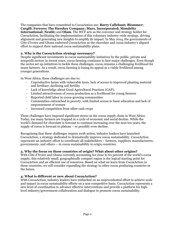The companies that have committed to CocoaAction are: **Barry Callebaut; Blommer; Cargill; Ferrero; The Hershey Company; Mars, Incorporated; Mondelēz International; Nestlé;** and **Olam**. The WCF acts as the convener and strategy holder for CocoaAction, facilitating the implementation of this voluntary industry-wide strategy, driving alignment and generating new insights to amplify its impact. In May 2014, the governments of Côte d'Ivoire and Ghana endorsed CocoaAction as the chocolate and cocoa industry's aligned

effort to support their national cocoa sustainability plans.

# **2. Why is the CocoaAction strategy necessary?**

Despite significant investments in cocoa sustainability initiatives by the public, private and nonprofit sectors in recent years, cocoa farming continues to face major challenges. Even though the sector set up initiatives to tackle these challenges, cocoa remains a challenging livelihood for many farmers. As a result, cocoa farming is losing its appeal as a viable livelihood among younger generations.

In West Africa, these challenges are due to:

- Unproductive farms with vulnerable trees; lack of access to improved planting material and fertilizer; declining soil fertility
- Lack of knowledge about Good Agricultural Practices (GAP);
- Limited attractiveness of cocoa production as a livelihood for young farmers
- Reported child labor in cocoa-growing communities
- Communities entrenched in poverty, with limited access to basic education and lack of empowerment of women
- Increased competition from other cash crops

These challenges have imposed significant stress on the cocoa supply chain in West Africa. Today, too many farmers are trapped in a cycle of economic and social decline. While the world's demand for chocolate is forecast to continue increasing over the next ten years, the supply of cocoa is forecast to plateau – or possibly even decline.

Recognizing that these challenges require swift action, industry leaders have launched CocoaAction, a strategy dedicated to dramatically improve cocoa sustainability. CocoaAction represents an industry effort to coordinate all stakeholders – farmers, suppliers, manufacturers, governments, and others – in cocoa sustainability in origin countries.

# **3. Why the focus on these countries of origin? What about other origins?**

With Côte d'Ivoire and Ghana currently accounting for close to 60 percent of the world's cocoa supply, this relatively small, geographically compact region is the logical starting point for CocoaAction and an efficient use of resources. Based on what we learn from CocoaAction in these countries, we will consider expanding the strategy to other cocoa producing countries in the future.

# **4. What is different or new about CocoaAction?**

With CocoaAction, industry leaders have embarked on an unprecedented effort to achieve scale and impact in cocoa sustainability efforts on a non-competitive basis. CocoaAction represents a new level of coordination to advance effective interventions and provide a platform for highlevel industry/government collaboration and dialogue to promote cocoa sustainability.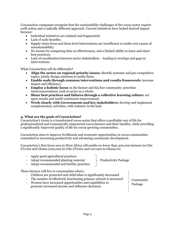CocoaAction companies recognize that the sustainability challenges of the cocoa sector require swift action and a radically different approach. Current initiatives have lacked desired impact because:

- Individual initiatives are isolated and fragmented;
- Lack of scale benefits;
- Supply-chain focus and farm-level interventions are insufficient to tackle root causes of unsustainability;
- No means for comparing data on effectiveness, and a limited ability to learn and share best practices;
- Lack of coordination between sector stakeholders leading to overlaps and gaps in interventions.

What CocoaAction will do differently?

- **Align the sector on regional priority issues:** identify systemic and pre-competitive topics; jointly design solutions to tackle them;
- **Enable scale through common interventions and results framework:** increase impact and efficiency;
- **Employ a holistic focus** on the farmer and his/her community: prioritize interconnectedness, look at sector as a whole;
- **Share best practices and failures through a collective learning culture:** act upon results and instill continuous improvement;
- **Work closely with Governments and key stakeholders:** develop and implement complementary activities, with industry in the lead.

#### **4. What are the goals of CocoaAction?**

CocoaAction's vision is a transformed cocoa sector that offers a profitable way of life for professionalized and economically empowered cocoa farmers and their families, while providing a significantly improved quality of life for cocoa-growing communities.

CocoaAction aims to improve livelihoods and economic opportunities in cocoa communities committed to increasing productivity and advancing community development.

CocoaAction's first focus area in West Africa will enable no fewer than 300,000 farmers in Côte d'Ivoire and Ghana (200,000 in Côte d'Ivoire and 100,000 in Ghana) to:

- Apply good agricultural practices
- Adopt recommended planting material
- Adopt recommended soil fertility practices

These farmers will live in communities where:

- Children are protected and child labor is significantly decreased
- The number of effectively functioning primary schools is increased
- Women have increased opportunities and capabilities to generate increased income and influence decisions

Community Package

Productivity Package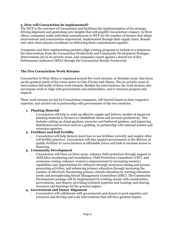# **5. How will CocoaAction be implemented?**

The WCF is the convener of CocoaAction and facilitates the implementation of the strategy, driving alignment and generating new insights that will amplify CocoaAction's impact. In West Africa, companies make individual commitments to WCF for the number of farmers that adopt interventions and communities empowered, implemented through their supply chain. Brands and value chain players coordinate on delivering these commitments together.

Companies and their implementing partners align existing programs to include at a minimum the interventions from the CocoaAction Productivity and Community Development Packages. Interventions are in six priority areas, and companies report against a shared set of Key Performance Indicators (KPIs) through the CocoaAction Results Framework.

# **The Five CocoaAction Work Streams**

CocoaAction in West Africa is organized around five work streams, or thematic areas, that focus on the greatest needs of the cocoa sector in Côte d'Ivoire and Ghana. The six priority areas of intervention fall inside of these work streams. Besides the interventions, the work streams also encompass work to align with governments and stakeholders, and to measure progress and impacts.

These work streams are led by CocoaAction companies, self-elected based on their respective expertise, and carried out in partnership with governments of the two countries.

# **1. Planting Material**

 CocoaAction will help to scale up effective supply and delivery models of improved planting material to farmers to rehabilitate farms and increase productivity. This includes setting up clonal gardens, nurseries and budwood gardens, and improving distribution and services such as a grafting, in partnership with national science and extension agencies.

#### **2. Fertilizer and Soil Fertility**

 CocoaAction will help farmers learn how to use fertilizer correctly and employ other soil fertility practices. CocoaAction will also support governments in the delivery of quality fertilizer to cocoa farmers at affordable prices and look to increase access to financing.

#### **3. Community Development**

 CocoaAction will focus on three areas: enhance child protection through support to child labor monitoring and remediation, Child Protection Committees (CPC), and awareness raising; enhance women's empowerment by increasing women's capabilities and opportunities for influence through awareness raising and income generating activities; and enhancing primary education through increasing the number of effectively functioning primary schools education by meeting education needs and strengthening School Management Committees (SMC). The Community Development package will be implemented by working closely with communities, governments, and donors; providing technical expertise and training; and sharing resources and learnings for the greatest impact.

#### **4. Government and Donor Alignment**

- CocoaAction will collaborate with governments and donors to pool expertise and resources and develop and scale interventions that will have greatest impact.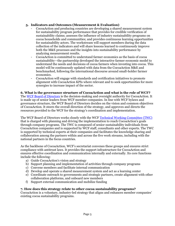# **5. Indicators and Outcomes (Measurement & Evaluation)**

- CocoaAction and producing countries are developing a shared measurement system for sustainability program performance that provides for credible verification of sustainability claims; assesses the influence of industry sustainability programs on cocoa households and communities; and provides continuous learning opportunities for sustainability actors. The workstream will support members during the data collection of the indicators and will share lessons learned to continuously improve both the M&E processes and the insights into sustainability performance by analyzing measurement results.
- CocoaAction is committed to understand farmer economics as the basis of cocoa sustainability—the partnership developed the interactive farmer economic model to understand the needs and decisions of cocoa farmers when investing into cocoa. This model will be continuously updated with data from the CocoaAction M&E and benchmarked, following the international discourse around small-holder farmer economics.
- CocoaAction will engage with standards and certification initiatives to promote alignment with CocoaAction KPIs where relevant and to seek opportunities for more synergies to increase impact of the sector.

# **6. What is the governance structure of CocoaAction and what is the role of WCF?**

The WCF [Board of Directors](http://worldcocoafoundation.org/wcf-officers-and-board-of-directors/) is the decision-making and oversight authority for CocoaAction. It is made up of senior leaders from WCF member companies. In line with WCF bylaws and governance structure, the WCF Board of Directors decides on the vision and common objectives of CocoaAction. It steers the overall direction of the strategy, and approves and directs the resources provided to the WCF for the strategy's coordination and implementation.

The WCF Board of Directors works closely with the WCF [Technical Working Committee](http://worldcocoafoundation.org/wcf-officers-and-board-of-directors/) (TWC) that is charged with planning and driving the implementation to reach CocoaAction's goals through company programs. The TWC is composed of senior sustainability individuals from CocoaAction companies and is supported by WCF staff, consultants and other experts. The TWC is supported by technical experts at their companies and facilitates the knowledge sharing and collaboration among the partners within and across the five work streams, including with the national partners in the focus countries.

As the backbone of CocoaAction, WCF's secretariat convenes these groups and ensures strict compliance with antitrust laws. It provides the support infrastructure for CocoaAction and ensures effective coordination and communication internally and externally. Its core functions include the following:

- a) Guide CocoaAction's vision and strategy
- b) Support planning and implementation of activities through company programs
- c) Convene members and facilitate internal communication
- d) Develop and operate a shared measurement system and act as a learning center
- e) Coordinate outreach to governments and strategic partners, create alignment with other collaboration platforms, and onboard new members
- f) Support external communication and mobilize funding

#### **7. How does this strategy relate to other cocoa sustainability programs?**

CocoaAction is a voluntary, industry-led strategy that aligns and enhances member companies' existing cocoa sustainability programs.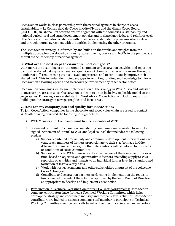CocoaAction works in close partnership with the national agencies in charge of cocoa sustainability – Le Conseil du Café-Cacao in Côte d'Ivoire and the Ghana Cocoa Board (COCOBOD) in Ghana – in order to ensure alignment with the countries' sustainability and national agricultural and rural development policies and to share knowledge and reinforce each other's efforts. It will also collaborate with other cocoa sustainability programs where relevant and through mutual agreement with the entities implementing the other programs.

The CocoaAction strategy is informed by and builds on the results and insights from the multiple approaches developed by industry, governments, donors and NGOs in the past decade, as well as the leadership of national agencies.

# **8. What are the next steps to ensure we meet our goals?**

2016 marks the beginning of on-the-ground alignment to CocoaAction activities and reporting back to the shared data system. Year-on-year, CocoaAction companies will convene through a number of different learning events to evaluate progress and to continuously improve their shared work. This includes identifying any gaps in activities, funding and knowledge to inform CocoaAction's learning agenda and to encourage involvement by other sector actors.

CocoaAction companies will begin implementation of the strategy in West Africa and will start to measure progress in 2016. CocoaAction is meant to be an inclusive, replicable model across geographies. Following a successful start in West Africa, CocoaAction will look to expand and build upon the strategy in new geographies and focus areas.

# **9. How can my company join and qualify for CocoaAction?**

To join CocoaAction, companies in the chocolate and cocoa value chain are asked to contact WCF after having reviewed the following four guidelines:

- 1. WCF Membership: Companies must first be a member of WCF.
- 2. Statement of Intent: CocoaAction contributing companies are requested to submit a signed "Statement of Intent" to WCF and legal counsel that includes the following pledges:
	- a) Support combined productivity and community development interventions each year, reach numbers of farmers proportionate to their size/tonnage in Côte d'Ivoire or Ghana, and recognize that interventions will be tailored to the needs or conditions of cocoa communities.
	- b) Support efforts by WCF to measure the effectiveness of these interventions over time, based on objective and quantitative indicators, including supply to WCF reporting of activities and impacts to an individual farmer level in a standardized format on at least a yearly basis.
	- c) Work with host governments and other stakeholders in pursuit of the collective CocoaAction goal.
	- d) Contribute to CocoaAction partners performing implementation the requisite funds needed to conduct the activities approved by the WCF Board of Directors as appropriate to develop and implement CocoaAction.
- 3. Participation in Technical Working Committee (TWC) or Workstreams: CocoaAction company contributors have formed a Technical Working Committee, which helps develop the strategy and coordinate industry and company level activities. CocoaAction contributors are invited to assign a company staff member to participate in Technical Working Committee meetings and calls based on their technical interest and expertise.